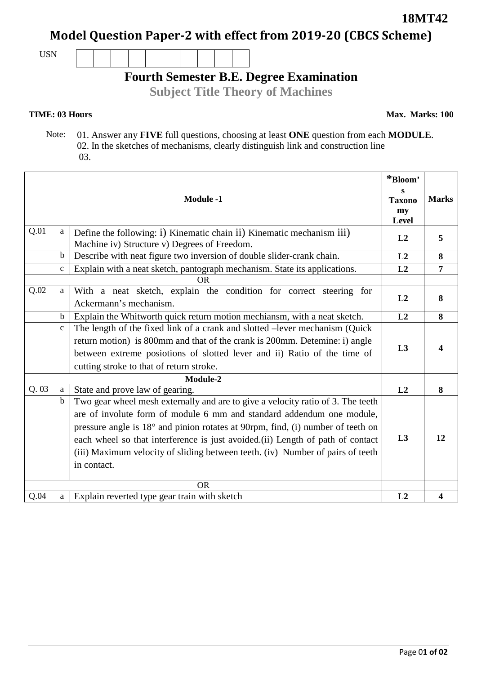**18MT42**

**Model Question Paper-2 with effect from 2019-20 (CBCS Scheme)**

USN



## **Fourth Semester B.E. Degree Examination**

**Subject Title Theory of Machines**

## **TIME: 03 Hours**

**Max. Marks: 100**

 Note: 01. Answer any **FIVE** full questions, choosing at least **ONE** question from each **MODULE**. 02. In the sketches of mechanisms, clearly distinguish link and construction line 03.

| <b>Module -1</b> |              | *Bloom'<br>S<br><b>Taxono</b><br>my<br><b>Level</b>                                                                                                                                                                                                                                                                                                                                                                            | <b>Marks</b> |                |
|------------------|--------------|--------------------------------------------------------------------------------------------------------------------------------------------------------------------------------------------------------------------------------------------------------------------------------------------------------------------------------------------------------------------------------------------------------------------------------|--------------|----------------|
| Q.01             | a            | Define the following: i) Kinematic chain ii) Kinematic mechanism iii)<br>Machine iv) Structure v) Degrees of Freedom.                                                                                                                                                                                                                                                                                                          | L2           | 5              |
|                  | $\mathbf b$  | Describe with neat figure two inversion of double slider-crank chain.                                                                                                                                                                                                                                                                                                                                                          | L2           | 8              |
|                  | $\mathbf{c}$ | Explain with a neat sketch, pantograph mechanism. State its applications.                                                                                                                                                                                                                                                                                                                                                      | L2           | $\overline{7}$ |
| <b>OR</b>        |              |                                                                                                                                                                                                                                                                                                                                                                                                                                |              |                |
| Q.02             | $\mathbf{a}$ | With a neat sketch, explain the condition for correct steering for<br>Ackermann's mechanism.                                                                                                                                                                                                                                                                                                                                   | L2           | 8              |
|                  | b            | Explain the Whitworth quick return motion mechiansm, with a neat sketch.                                                                                                                                                                                                                                                                                                                                                       | L2           | 8              |
|                  | $\mathbf{C}$ | The length of the fixed link of a crank and slotted -lever mechanism (Quick<br>return motion) is 800mm and that of the crank is 200mm. Detemine: i) angle<br>between extreme posiotions of slotted lever and ii) Ratio of the time of<br>cutting stroke to that of return stroke.                                                                                                                                              | L3           | 4              |
| Module-2         |              |                                                                                                                                                                                                                                                                                                                                                                                                                                |              |                |
| Q.03             | a            | State and prove law of gearing.                                                                                                                                                                                                                                                                                                                                                                                                | L2           | 8              |
|                  | $\mathbf b$  | Two gear wheel mesh externally and are to give a velocity ratio of 3. The teeth<br>are of involute form of module 6 mm and standard addendum one module,<br>pressure angle is 18° and pinion rotates at 90rpm, find, (i) number of teeth on<br>each wheel so that interference is just avoided.(ii) Length of path of contact<br>(iii) Maximum velocity of sliding between teeth. (iv) Number of pairs of teeth<br>in contact. | L3           | 12             |
| <b>OR</b>        |              |                                                                                                                                                                                                                                                                                                                                                                                                                                |              |                |
| Q.04             | a            | Explain reverted type gear train with sketch                                                                                                                                                                                                                                                                                                                                                                                   | L2           | 4              |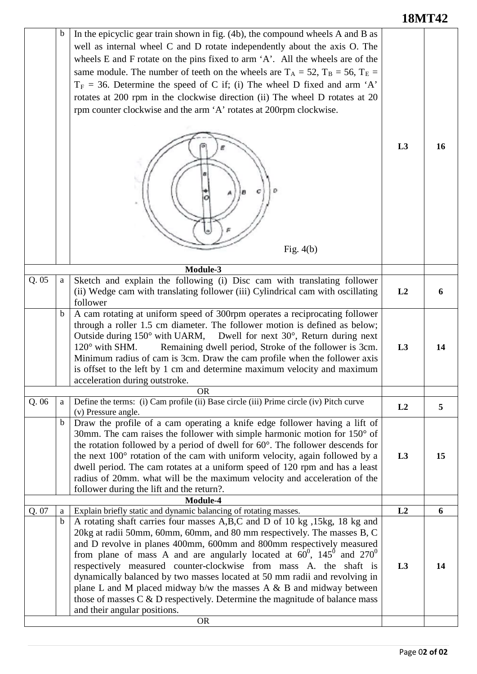## **18MT42**

|      | b      | In the epicyclic gear train shown in fig. (4b), the compound wheels A and B as<br>well as internal wheel C and D rotate independently about the axis O. The<br>wheels E and F rotate on the pins fixed to arm $A'$ . All the wheels are of the<br>same module. The number of teeth on the wheels are $T_A = 52$ , $T_B = 56$ , $T_E =$<br>$T_F = 36$ . Determine the speed of C if; (i) The wheel D fixed and arm 'A'<br>rotates at 200 rpm in the clockwise direction (ii) The wheel D rotates at 20<br>rpm counter clockwise and the arm 'A' rotates at 200rpm clockwise.<br>Ð<br>c<br>Fig. $4(b)$ | L3             | 16 |
|------|--------|------------------------------------------------------------------------------------------------------------------------------------------------------------------------------------------------------------------------------------------------------------------------------------------------------------------------------------------------------------------------------------------------------------------------------------------------------------------------------------------------------------------------------------------------------------------------------------------------------|----------------|----|
| Q.05 | a      | Module-3<br>Sketch and explain the following (i) Disc cam with translating follower<br>(ii) Wedge cam with translating follower (iii) Cylindrical cam with oscillating<br>follower                                                                                                                                                                                                                                                                                                                                                                                                                   | L2             | 6  |
|      | b      | A cam rotating at uniform speed of 300rpm operates a reciprocating follower<br>through a roller 1.5 cm diameter. The follower motion is defined as below;<br>Outside during $150^{\circ}$ with UARM, Dwell for next $30^{\circ}$ , Return during next<br>$120^\circ$ with SHM.<br>Remaining dwell period, Stroke of the follower is 3cm.<br>Minimum radius of cam is 3cm. Draw the cam profile when the follower axis<br>is offset to the left by 1 cm and determine maximum velocity and maximum<br>acceleration during outstroke.                                                                  | L <sub>3</sub> | 14 |
|      |        | <b>OR</b>                                                                                                                                                                                                                                                                                                                                                                                                                                                                                                                                                                                            |                |    |
| Q.06 | a      | Define the terms: (i) Cam profile (ii) Base circle (iii) Prime circle (iv) Pitch curve<br>(v) Pressure angle.                                                                                                                                                                                                                                                                                                                                                                                                                                                                                        | L2             | 5  |
|      | b      | Draw the profile of a cam operating a knife edge follower having a lift of<br>30mm. The cam raises the follower with simple harmonic motion for $150^{\circ}$ of<br>the rotation followed by a period of dwell for 60°. The follower descends for<br>the next 100° rotation of the cam with uniform velocity, again followed by a<br>dwell period. The cam rotates at a uniform speed of 120 rpm and has a least<br>radius of 20mm. what will be the maximum velocity and acceleration of the<br>follower during the lift and the return?.                                                           | L3             | 15 |
|      |        | Module-4                                                                                                                                                                                                                                                                                                                                                                                                                                                                                                                                                                                             |                |    |
| Q.07 | a<br>b | Explain briefly static and dynamic balancing of rotating masses.<br>A rotating shaft carries four masses A,B,C and D of 10 kg, 15kg, 18 kg and                                                                                                                                                                                                                                                                                                                                                                                                                                                       | L2             | 6  |
|      |        | 20kg at radii 50mm, 60mm, 60mm, and 80 mm respectively. The masses B, C<br>and D revolve in planes 400mm, 600mm and 800mm respectively measured<br>from plane of mass A and are angularly located at $60^0$ , $145^0$ and $270^0$<br>respectively measured counter-clockwise from mass A. the shaft is<br>dynamically balanced by two masses located at 50 mm radii and revolving in<br>plane L and M placed midway $b/w$ the masses A & B and midway between<br>those of masses $C \& D$ respectively. Determine the magnitude of balance mass<br>and their angular positions.<br><b>OR</b>         | L3             | 14 |